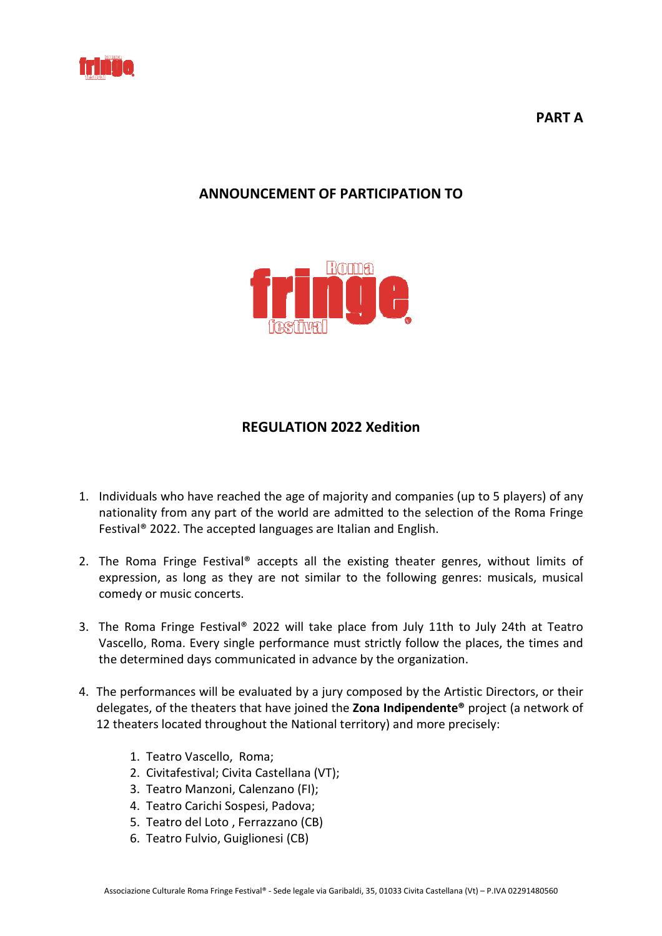

**PART A** 

# **ANNOUNCEMENT ANNOUNCEMENT OF PARTICIPATION TO**



## **REGULATION 2022 Xedition**

- 1. Individuals who have reached the age of majority and companies (up to 5 players) of any nationality from any part of the world are admitted to the selection of the Roma Fringe Festival<sup>®</sup> 2022. The accepted languages are Italian and English.
- 2. The Roma Fringe Festival® accepts all the existing theater genres, without limits of expression, as long as they are not similar to the following genres: musicals, musical comedy or music concerts.
- comedy or music concerts.<br>3. The Roma Fringe Festival® 2022 will take place from July 11th to July 24th at Teatro Vascello, Roma. Every single performance must strictly follow the places, the times and the determined days communicated in advance by the organization.
- 4. The performances will be evaluated by a jury composed by the Artistic Directors, or their delegates, of the theaters that have joined the **Zona Indipendente®** project (a network of 12 theaters located throughout the National territory) and more precisely:
	- 1. Teatro Vascello, Roma;
- 2. Civitafestival; Civita Castellana (VT);
- 3. Teatro Manzoni, Calenzano Calenzano (FI);
- 4. Teatro Carichi Sospesi, Sospesi, Padova;
- 5. Teatro del Loto, Ferrazzano (CB)
- 6. Teatro Fulvio, Guiglionesi Guiglionesi (CB)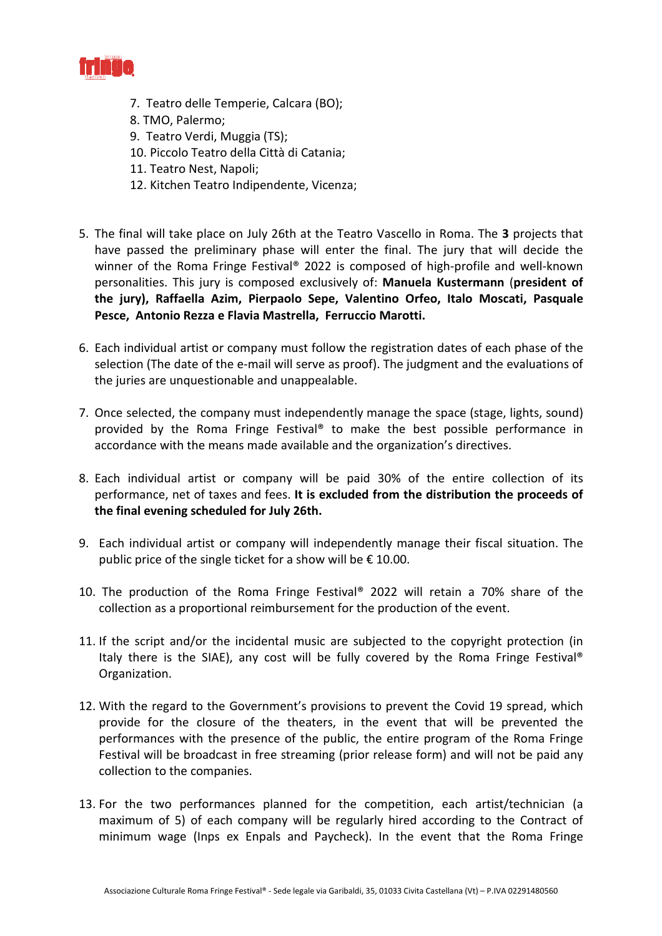

- 7. Teatro delle Temperie, Calcara (BO);
	- 8. TMO, Palermo;
- 9. Teatro Verdi, Muggia Muggia (TS);
- 10. Piccolo Teatro della Città di Catania;
	- 11. Teatro Nest, Napoli;
- 12. Kitchen Teatro Indipendente, Vicenza;
- 5. The final will take place on July 26th at the Teatro Vascello in Roma. The 3 projects that have passed the preliminary phase will enter the final. The jury that will decide the winner of the Roma Fringe Festival® 2022 is composed of high-profile and well-known personalities. This jury is composed exclusively of: Manuela Kustermann (president of **the jury), Raffaella Azim, Azim, Pierpaolo Sepe, Valentino Orfeo, Italo Moscati, Pasquale**  Pesce, Antonio Rezza e Flavia Mastrella, Ferruccio Marotti.
- 6. Each individual artist or company must follow the registration dates of each phase of the selection (The date of the e-mail will serve as proof). The judgment and the evaluations of the juries are unquestionable and unappealable.
- 7. Once selected, the company must independently manage the space (stage, lights, sound) provided by the Roma Fringe Festival® to make the best possible performance in accordance with the means means made available and the organization's directives directives.
- 8. Each individual artist or company will be paid 30% of the entire entire collection of its performance, net of taxes and fees. It is excluded from the distribution the proceeds of **the final evening scheduled scheduled for July 26th.**
- 9. Each individual artist or company will independently manage their fiscal situation. The public price of the single ticket for a show will be  $\epsilon$  10.00.
- 10. The production of the Roma Fringe Festival® 2022 will retain a 70% share of the collection as a proportional reimbursement for the production of the event.
- 11. If the script and/or the incidental music are subjected to the copyright protection (in Italy there is the SIAE), any cost will be fully covered by the Roma Fringe Festival® Organization.
- 12. With the regard to the Government's provisions to prevent the Covid 19 spread, which provide for the closure of the theaters, in the event that will be prevented the performances with the presence of the public, the entire program of the Roma Fringe Festival will be broadcast in free streaming (prior release form) and will not be paid any collection to the companies.
- 13. For the two performances planned for the competition, each artist/technician (a maximum of 5) of each company will be regularly hired according to the Contract of minimum wage (Inps ex Enpals and Paycheck). In the event that that the Roma Fringe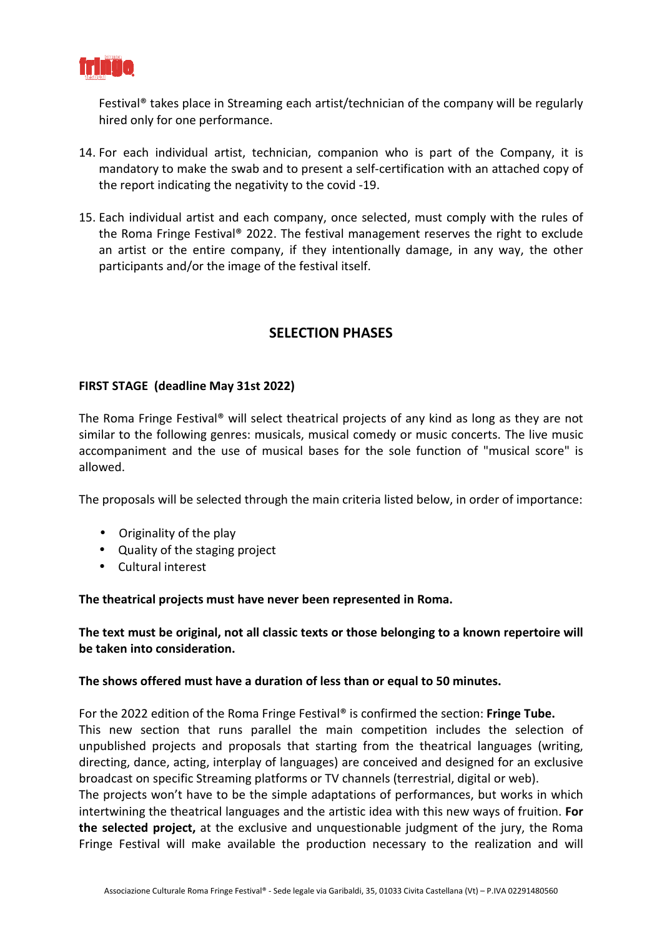

Festival® takes place in Streaming each artist/technician of the company will be regularly hired only for one performance.

- 14. For each individual artist, technician, companion who is part of the Company, it is mandatory to make the swab and to present a self-certification with an attached copy of the report indicating the negativity to the covid -19.
- 15. Each individual artist and each company, once selected, must comply with the rules of the Roma Fringe Festival® 2022. The festival management reserves the right to exclude an artist or the entire company, if they intentionally damage, in any way, the other participants and/or the image of the festival itself.

# **SELECTION PHASES**

#### **FIRST STAGE (deadline May 31st 31st 2022)**

The Roma Fringe Festival® will select theatrical projects of any kind as long as they are not similar to the following genres: musicals, musical comedy or music concerts. The live music accompaniment and the use of musical bases for the sole function of "musical score" is allowed.

The proposals will be selected through the main criteria listed below, in order of importance:

- Originality of the play
- Quality of the staging project
- Cultural interest

#### The theatrical projects must have never been represented in Roma.

The text must be original, not all classic texts or those belonging to a known repertoire will **be taken into consideration.**

#### The shows offered must have a duration of less than or equal to 50 minutes.

For the 2022 edition of the Roma Fringe Festival<sup>®</sup> is confirmed the section: Fringe Tube. This new section that runs parallel the main competition includes the selection of unpublished projects and proposals that starting from the theatrical languages (writing, directing, dance, acting, interplay of languages) are conceived and designed for an exclusive broadcast on specific Streaming platforms or TV channels (terrestrial, digital or web).

The projects won't have to be the simple adaptations of performances, but works in which intertwining the theatrical languages and the artistic idea with this new ways of fruition. For the selected project, at the exclusive and unquestionable judgment of the jury, the Roma Fringe Festival will make available the production necessary to the realization and will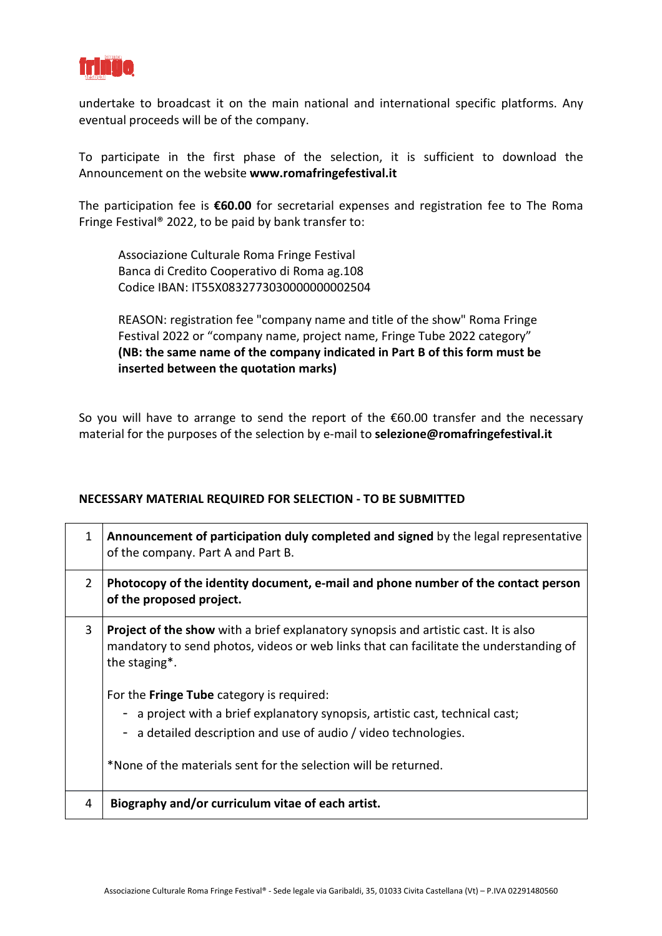

undertake to broadcast it on the main national and international specific platforms. Any eventual proceeds will be of the company.

To participate in the first phase of the selection, it is sufficient to download the Announcement on the website **www.romafringefestival.it**

The participation fee is €60.00 for secretarial expenses and registration fee to The Roma Fringe Festival® 2022, to be paid by bank transfer to:

 Associazione Culturale Culturale Roma Fringe Festival Banca di Credito Cooperativo Cooperativo di Roma ag.108 Codice IBAN: IT55X0832773030000000002504

REASON: registration fee "company name and title of the show" Roma Fringe Festival 2022 or "company name, project name, Fringe Tube 2022 category" (NB: the same name of the company indicated in Part B of this form must be  **inserted between the quotation marks)** 

So you will have to arrange to send the report of the €60.00 transfer and the necessary material for the purposes of the selection by e-mail to selezione@romafringefestival.it

#### **NECESSARY MATERIAL REQUIRED REQUIRED FOR SELECTION - TO BE SUBMITTED**

| $\mathbf{1}$   | Announcement of participation duly completed and signed by the legal representative<br>of the company. Part A and Part B.                                                                                                                                                                         |
|----------------|---------------------------------------------------------------------------------------------------------------------------------------------------------------------------------------------------------------------------------------------------------------------------------------------------|
| $\overline{2}$ | Photocopy of the identity document, e-mail and phone number of the contact person<br>of the proposed project.                                                                                                                                                                                     |
| 3              | <b>Project of the show</b> with a brief explanatory synopsis and artistic cast. It is also<br>mandatory to send photos, videos or web links that can facilitate the understanding of<br>the staging*.                                                                                             |
|                | For the <b>Fringe Tube</b> category is required:<br>- a project with a brief explanatory synopsis, artistic cast, technical cast;<br>a detailed description and use of audio / video technologies.<br>$\overline{\phantom{0}}$<br>*None of the materials sent for the selection will be returned. |
| 4              | Biography and/or curriculum vitae of each artist.                                                                                                                                                                                                                                                 |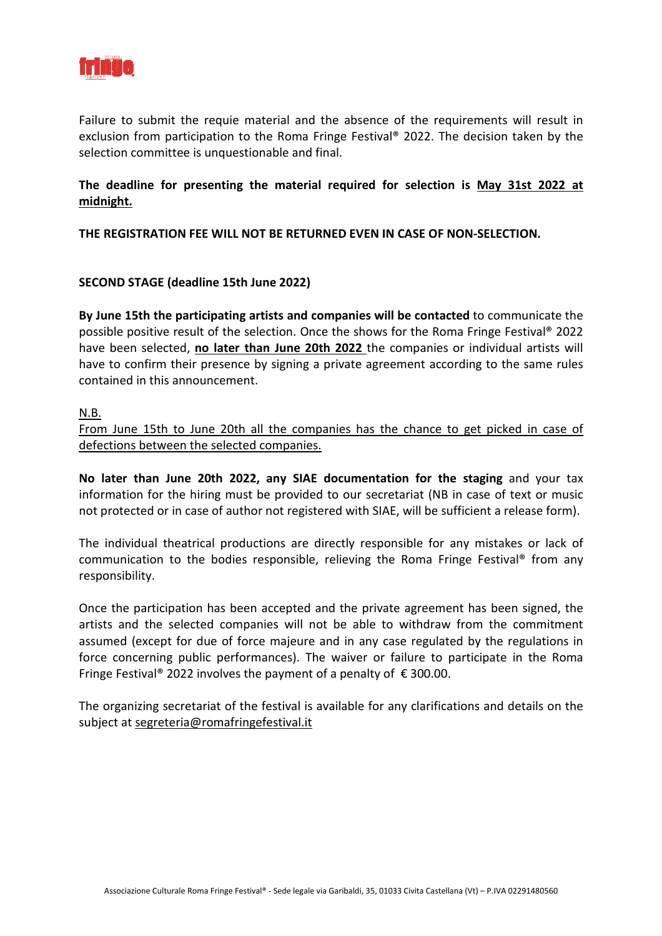

Failure to submit the requie material and the absence of the requirements will result in exclusion from participation to the Roma Fringe Festival® 2022. The decision taken by the selection committee is unquestionable and final.

### The deadline for presenting the material required for selection is May 31st 2022 at **midnight.**

**THE REGISTRATION FEE WILL NOT BE RETURNED EVEN IN CASE OF NON-SELECTION. SELECTION.**

### **SECOND STAGE (deadline 15th June 2022)**

By June 15th the participating artists and companies will be contacted to communicate the possible positive result of the selection. Once the shows for the Roma Fringe Festival® 2022 have been selected, no later than June 20th 2022 the companies or individual artists will have to confirm their presence by signing a private agreement according to the same rules contained in this announcement.

#### N.B.

From June 15th to June 20th all the companies has the chance to get picked in case of defections between the selected companies.

**No later than June 20th 2022, 2022, any SIAE documentation for the staging** and your tax information for the hiring must be provided to our secretariat (NB in case of text or music not protected or in case of author not registered with SIAE, will be sufficient a release form).

The individual theatrical productions are directly responsible for any mistakes or lack of communication to the bodies responsible, relieving the Roma Fringe Festival® from any responsibility.

Once the participation has been accepted and the private agreement has been signed, the artists and the selected companies will not be able to withdraw from the commitment assumed (except for due of force majeure and in any case regulated by the regulations in force concerning public performances). The waiver or failure to participate in the Roma Fringe Festival® 2022 involves the payment of a penalty of €300.00.

The organizing secretariat of the festival is available for any clarifications and details on the subject at segreteria@romafringefestival.it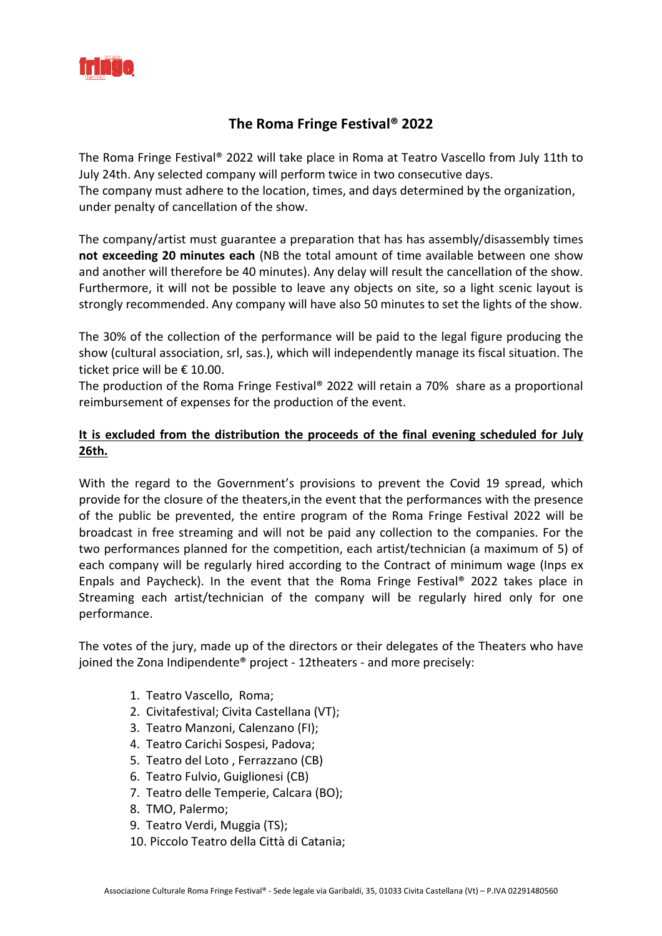

## **The The Roma Fringe Festival® 2022**

The Roma Fringe Festival® 2022 will take place in Roma at Teatro Vascello from July 11th to July 24th. Any selected company will perform twice in two consecutive days. The company must adhere to the location, times, and days determined by the organization, under penalty of cancellation of the show.

The company/artist must guarantee a preparation that has has assembly/disassembly times not exceeding 20 minutes each (NB the total amount of time available between one show and another will therefore be 40 minutes). Any delay will result the cancellation of the show. Furthermore, it will not be possible to leave any objects on site, so a light scenic layout is strongly recommended. Any company will have also 50 minutes to set the lights of the show.

The 30% of the collection of the performance will be paid to the legal figure producing the show (cultural association, srl, sas.), which will independently manage its fiscal situation. The ticket price will be € 10.00.

The production of the Roma Fringe Festival® 2022 will retain a 70% share as a proportional reimbursement of expenses for the production of the event.

### It is excluded from the distribution the proceeds of the final evening scheduled for July **26th.**

With the regard to the Government's provisions to prevent the Covid 19 spread, which provide for the closure of the theaters, in the event that the performances with the presence of the public be prevented, the entire program of the Roma Fringe Festival 2022 will be broadcast in free streaming and will not be paid any collection to the companies. For the two performances planned for the competition, each artist/technician (a maximum of 5) of each company will be regularly hired according to the Contract of minimum wage (Inps ex Enpals and Paycheck). In the event that the Roma Fringe Festival® 2022 takes place in Streaming each artist/technician of the company will be regularly hired only for one performance.

The votes of the jury, made up of the directors or their delegates of the Theaters who have joined the Zona Indipendente® project - 12theaters - and more precisely:

- 1. Teatro Vascello, Roma;
- 2. Civitafestival; Civita Castellana (VT);
- 3. Teatro Manzoni, Calenzano Calenzano (FI);
- 4. Teatro Carichi Sospesi, Sospesi, Padova;
- 5. Teatro del Loto, Ferrazzano (CB)
- 6. Teatro Fulvio, Guiglionesi Guiglionesi (CB)
- 7. Teatro delle Temperie, Calcara (BO);
	- 8. TMO, Palermo;
- 9. Teatro Verdi, Muggia Muggia (TS);
- 10. Piccolo Teatro della Città di Catania;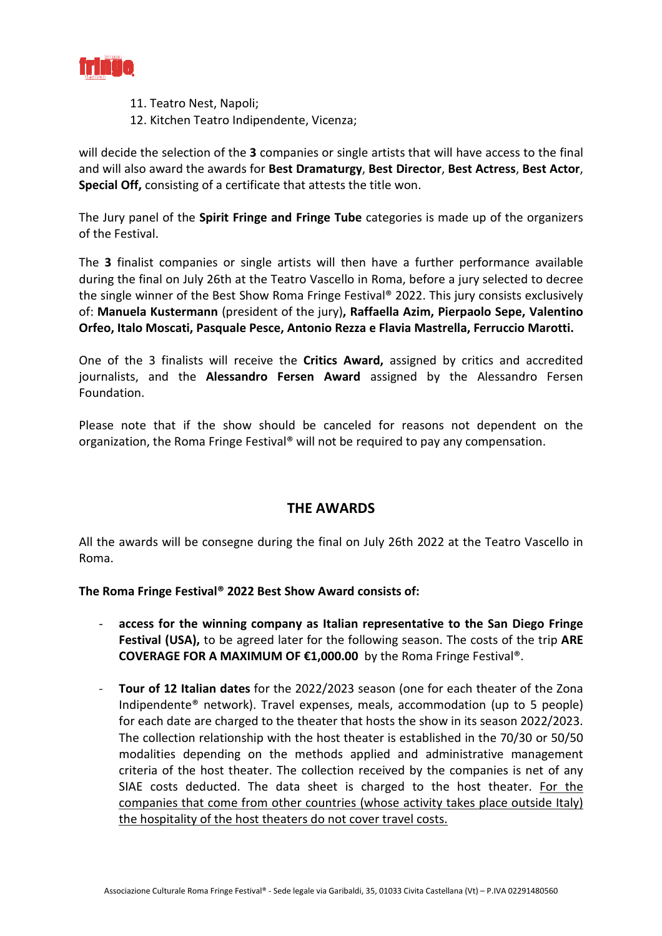

- 11. Teatro Nest, Napoli;
- 12. Kitchen Teatro Indipendente, Vicenza;

will decide the selection of the 3 companies or single artists that will have access to the final and will also award the awards for Best Dramaturgy, Best Director, Best Actress, Best Actor, Special Off, consisting of a certificate that attests the title won.

The Jury panel of the Spirit Fringe and Fringe Tube categories is made up of the organizers of the Festival.

The 3 finalist companies or single artists will then have a further performance available during the final on July 26th at the Teatro Vascello in Roma, before a jury selected to decree the single winner of the Best Show Roma Fringe Festival® 2022. This jury consists exclusively of: Manuela Kustermann (president of the jury), Raffaella Azim, Pierpaolo Sepe, Valentino Orfeo, Italo Moscati, Pasquale Pesce, Antonio Rezza e Flavia Mastrella, Ferruccio Marotti.

One of the 3 finalists will receive the **Critics Award,** assigned by critics and accredited journalists, and the Alessandro Fersen Award assigned by the Alessandro Fersen Foundation.

Please note that if the show should be canceled for reasons not dependent on the organization, the Roma Fringe Festival® will not be required to pay any compensation.

### **THE AWARDS**

All the awards will be consegne during the final on July 26th 2022 at the Teatro Vascello in Roma.

**The Roma Fringe Festival® 202 2022 Best Show Award consists of:** 

- access for the winning company as Italian representative to the San Diego Fringe Festival (USA), to be agreed later for the following season. The costs of the trip ARE **COVERAGE FOR A MAXIMUM MAXIMUM OF €1,000.00** by the Roma Fringe Festival®.
- Tour of 12 Italian dates for the 2022/2023 season (one for each theater of the Zona Indipendente® network). Travel expenses, meals, accommodation (up to 5 people) for each date are charged to the theater that hosts the show in its season 2022/2023. The collection relationship with the host theater is established in the 70/30 or 50/50 modalities depending on the methods applied and administrative management criteria of the host theater. The collection received by the companies is net of any SIAE costs deducted. The data sheet is charged to the host theater. For the companies that come from other countries (whose activity takes place outside Italy)the hospitality of the host theaters do not cover travel costs.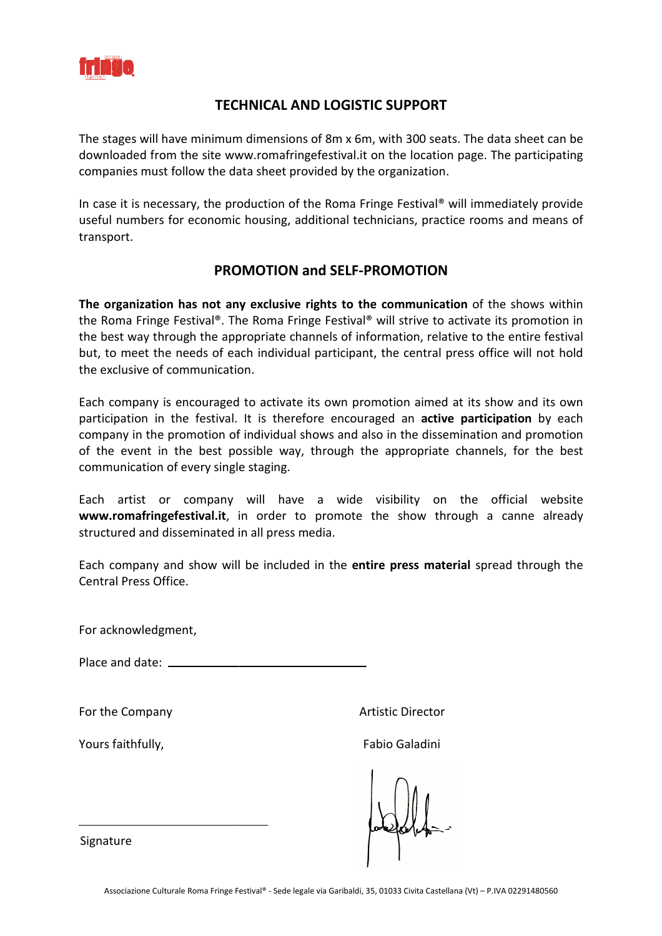

## **TECHNICAL TECHNICAL AND LOGISTIC SUPPORT**

The stages will have minimum dimensions of 8m x 6m, with 300 seats. The data sheet can be downloaded from the site www.romafringefestival.it on the location page. The participating companies must follow the data sheet provided by the organization.

In case it is necessary, the production of the Roma Fringe Festival<sup>®</sup> will immediately provide useful numbers for economic housing, additional technicians, practice rooms and means of transport.

## **PROMOTION PROMOTION and SELF-PROMOTION**

The organization has not any exclusive rights to the communication of the shows within the Roma Fringe Festival®. The Roma Fringe Festival® will strive to activate its promotion in the best way through the appropriate channels of information, relative to the entire festival but, to meet the needs of each individual participant, the central press office will not hold the exclusive of communication.

Each company is encouraged to activate its own promotion aimed at its show and its own participation in the festival. It is therefore encouraged an **active participation** by each company in the promotion of individual shows and also in the dissemination and promotion of the event in the best possible way, through the appropriate channels, for the best communication of every single staging.

Each artist or company will have a wide visibility on the official website www.romafringefestival.it, in order to promote the show through a canne already structured and disseminated in all press media.

Each company and show will be included in the entire press material spread through the Central Press Office.

For acknowledgment,

Place and date:

For the Company

Yours faithfully,

Artistic Director

Fabio Galadini

Signature